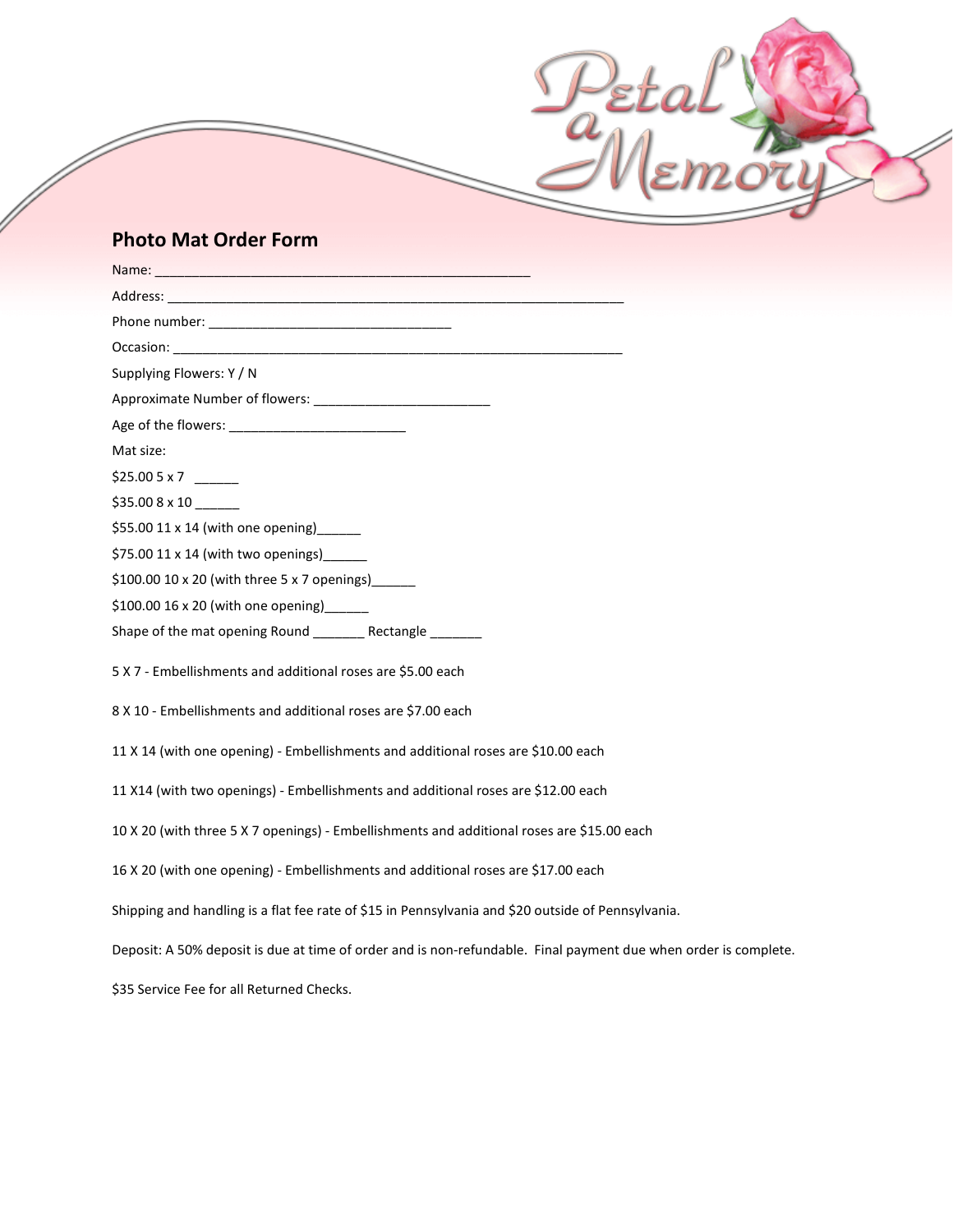## **Photo Mat Order Form**

| Supplying Flowers: Y / N                                                                                        |
|-----------------------------------------------------------------------------------------------------------------|
|                                                                                                                 |
|                                                                                                                 |
| Mat size:                                                                                                       |
|                                                                                                                 |
| $$35.008 \times 10$                                                                                             |
| \$55.00 $11 \times 14$ (with one opening)                                                                       |
| \$75.00 $11 \times 14$ (with two openings)                                                                      |
| \$100.00 10 x 20 (with three 5 x 7 openings) _____                                                              |
| \$100.00 16 x 20 (with one opening) [100.00 16 x 20                                                             |
| Shape of the mat opening Round __________ Rectangle ________                                                    |
| 5 X 7 - Embellishments and additional roses are \$5.00 each                                                     |
| 8 X 10 - Embellishments and additional roses are \$7.00 each                                                    |
| 11 X 14 (with one opening) - Embellishments and additional roses are \$10.00 each                               |
| 11 X14 (with two openings) - Embellishments and additional roses are \$12.00 each                               |
| 10 X 20 (with three 5 X 7 openings) - Embellishments and additional roses are \$15.00 each                      |
| 16 X 20 (with one opening) - Embellishments and additional roses are \$17.00 each                               |
| Shipping and handling is a flat fee rate of \$15 in Pennsylvania and \$20 outside of Pennsylvania.              |
| Deposit: A 50% deposit is due at time of order and is non-refundable. Final payment due when order is complete. |
| \$35 Service Fee for all Returned Checks.                                                                       |

Peto